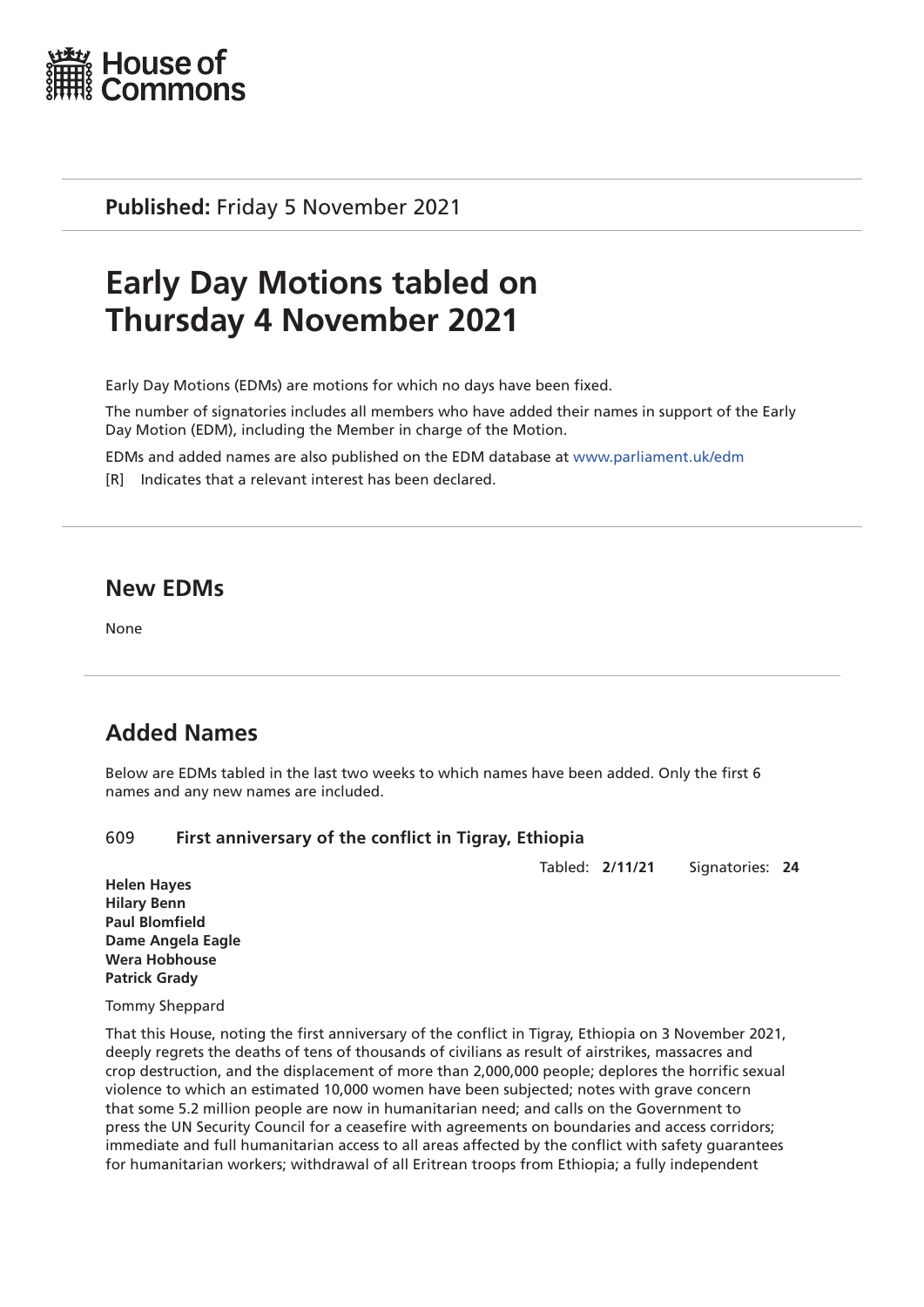

**Published:** Friday 5 November 2021

# **Early Day Motions tabled on Thursday 4 November 2021**

Early Day Motions (EDMs) are motions for which no days have been fixed.

The number of signatories includes all members who have added their names in support of the Early Day Motion (EDM), including the Member in charge of the Motion.

EDMs and added names are also published on the EDM database at [www.parliament.uk/edm](http://www.parliament.uk/edm)

[R] Indicates that a relevant interest has been declared.

# **New EDMs**

None

# **Added Names**

Below are EDMs tabled in the last two weeks to which names have been added. Only the first 6 names and any new names are included.

# 609 **First anniversary of the conflict in Tigray, Ethiopia**

Tabled: **2/11/21** Signatories: **24**

**Helen Hayes Hilary Benn Paul Blomfield Dame Angela Eagle Wera Hobhouse Patrick Grady**

Tommy Sheppard

That this House, noting the first anniversary of the conflict in Tigray, Ethiopia on 3 November 2021, deeply regrets the deaths of tens of thousands of civilians as result of airstrikes, massacres and crop destruction, and the displacement of more than 2,000,000 people; deplores the horrific sexual violence to which an estimated 10,000 women have been subjected; notes with grave concern that some 5.2 million people are now in humanitarian need; and calls on the Government to press the UN Security Council for a ceasefire with agreements on boundaries and access corridors; immediate and full humanitarian access to all areas affected by the conflict with safety guarantees for humanitarian workers; withdrawal of all Eritrean troops from Ethiopia; a fully independent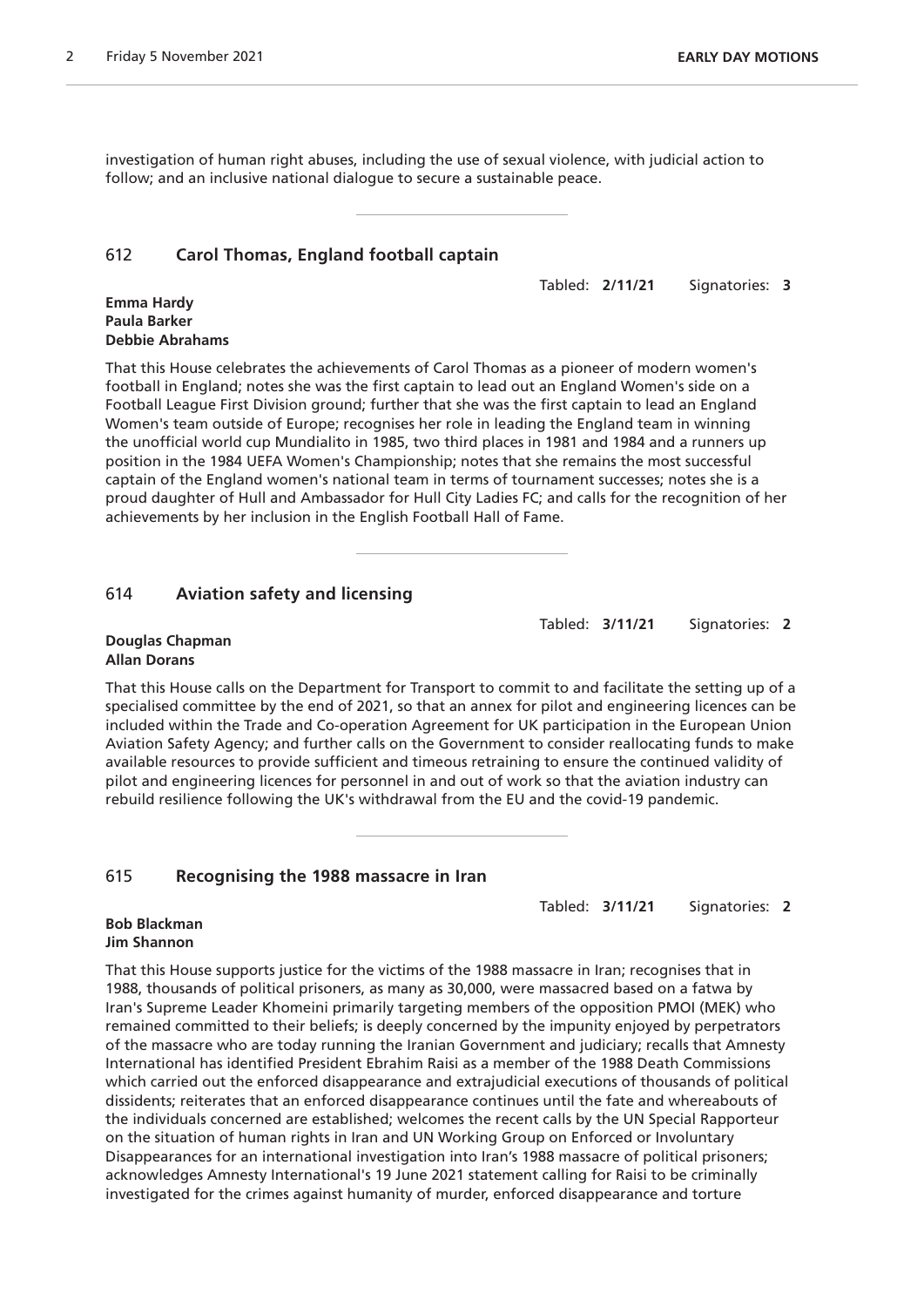investigation of human right abuses, including the use of sexual violence, with judicial action to follow; and an inclusive national dialogue to secure a sustainable peace.

# 612 **Carol Thomas, England football captain**

Tabled: **2/11/21** Signatories: **3**

#### **Emma Hardy Paula Barker Debbie Abrahams**

That this House celebrates the achievements of Carol Thomas as a pioneer of modern women's football in England; notes she was the first captain to lead out an England Women's side on a Football League First Division ground; further that she was the first captain to lead an England Women's team outside of Europe; recognises her role in leading the England team in winning the unofficial world cup Mundialito in 1985, two third places in 1981 and 1984 and a runners up position in the 1984 UEFA Women's Championship; notes that she remains the most successful captain of the England women's national team in terms of tournament successes; notes she is a proud daughter of Hull and Ambassador for Hull City Ladies FC; and calls for the recognition of her achievements by her inclusion in the English Football Hall of Fame.

# 614 **Aviation safety and licensing**

Tabled: **3/11/21** Signatories: **2**

#### **Douglas Chapman Allan Dorans**

That this House calls on the Department for Transport to commit to and facilitate the setting up of a specialised committee by the end of 2021, so that an annex for pilot and engineering licences can be included within the Trade and Co-operation Agreement for UK participation in the European Union Aviation Safety Agency; and further calls on the Government to consider reallocating funds to make available resources to provide sufficient and timeous retraining to ensure the continued validity of pilot and engineering licences for personnel in and out of work so that the aviation industry can rebuild resilience following the UK's withdrawal from the EU and the covid-19 pandemic.

# 615 **Recognising the 1988 massacre in Iran**

Tabled: **3/11/21** Signatories: **2**

#### **Bob Blackman Jim Shannon**

That this House supports justice for the victims of the 1988 massacre in Iran; recognises that in 1988, thousands of political prisoners, as many as 30,000, were massacred based on a fatwa by Iran's Supreme Leader Khomeini primarily targeting members of the opposition PMOI (MEK) who remained committed to their beliefs; is deeply concerned by the impunity enjoyed by perpetrators of the massacre who are today running the Iranian Government and judiciary; recalls that Amnesty International has identified President Ebrahim Raisi as a member of the 1988 Death Commissions which carried out the enforced disappearance and extrajudicial executions of thousands of political dissidents; reiterates that an enforced disappearance continues until the fate and whereabouts of the individuals concerned are established; welcomes the recent calls by the UN Special Rapporteur on the situation of human rights in Iran and UN Working Group on Enforced or Involuntary Disappearances for an international investigation into Iran's 1988 massacre of political prisoners; acknowledges Amnesty International's 19 June 2021 statement calling for Raisi to be criminally investigated for the crimes against humanity of murder, enforced disappearance and torture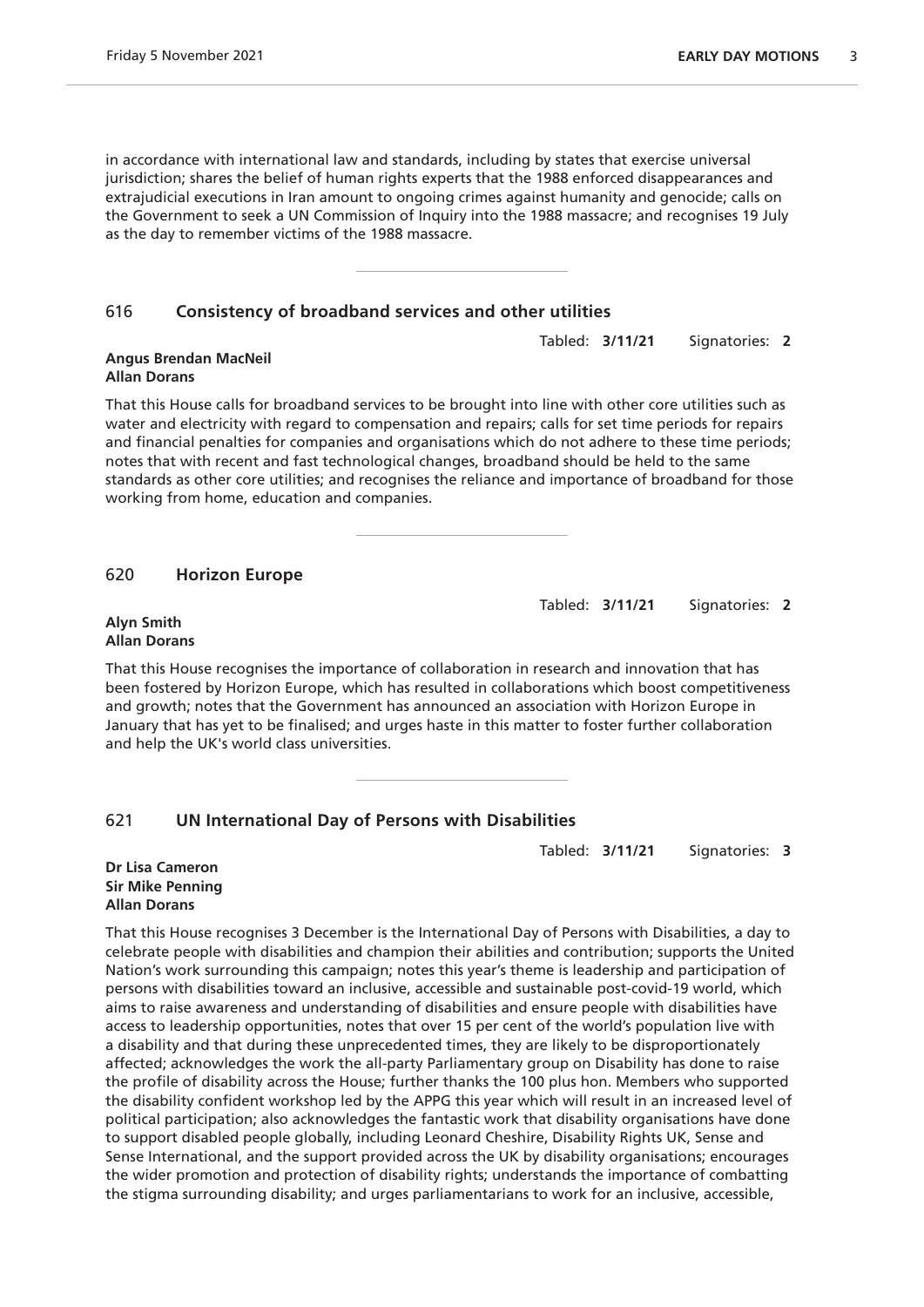in accordance with international law and standards, including by states that exercise universal jurisdiction; shares the belief of human rights experts that the 1988 enforced disappearances and extrajudicial executions in Iran amount to ongoing crimes against humanity and genocide; calls on the Government to seek a UN Commission of Inquiry into the 1988 massacre; and recognises 19 July as the day to remember victims of the 1988 massacre.

### 616 **Consistency of broadband services and other utilities**

**Angus Brendan MacNeil Allan Dorans**

That this House calls for broadband services to be brought into line with other core utilities such as water and electricity with regard to compensation and repairs; calls for set time periods for repairs and financial penalties for companies and organisations which do not adhere to these time periods; notes that with recent and fast technological changes, broadband should be held to the same standards as other core utilities; and recognises the reliance and importance of broadband for those working from home, education and companies.

#### 620 **Horizon Europe**

Tabled: **3/11/21** Signatories: **2**

**Alyn Smith Allan Dorans**

That this House recognises the importance of collaboration in research and innovation that has been fostered by Horizon Europe, which has resulted in collaborations which boost competitiveness and growth; notes that the Government has announced an association with Horizon Europe in January that has yet to be finalised; and urges haste in this matter to foster further collaboration and help the UK's world class universities.

# 621 **UN International Day of Persons with Disabilities**

Tabled: **3/11/21** Signatories: **3**

#### **Dr Lisa Cameron Sir Mike Penning Allan Dorans**

That this House recognises 3 December is the International Day of Persons with Disabilities, a day to celebrate people with disabilities and champion their abilities and contribution; supports the United Nation's work surrounding this campaign; notes this year's theme is leadership and participation of persons with disabilities toward an inclusive, accessible and sustainable post-covid-19 world, which aims to raise awareness and understanding of disabilities and ensure people with disabilities have access to leadership opportunities, notes that over 15 per cent of the world's population live with a disability and that during these unprecedented times, they are likely to be disproportionately affected; acknowledges the work the all-party Parliamentary group on Disability has done to raise the profile of disability across the House; further thanks the 100 plus hon. Members who supported the disability confident workshop led by the APPG this year which will result in an increased level of political participation; also acknowledges the fantastic work that disability organisations have done to support disabled people globally, including Leonard Cheshire, Disability Rights UK, Sense and Sense International, and the support provided across the UK by disability organisations; encourages the wider promotion and protection of disability rights; understands the importance of combatting the stigma surrounding disability; and urges parliamentarians to work for an inclusive, accessible,

Tabled: **3/11/21** Signatories: **2**